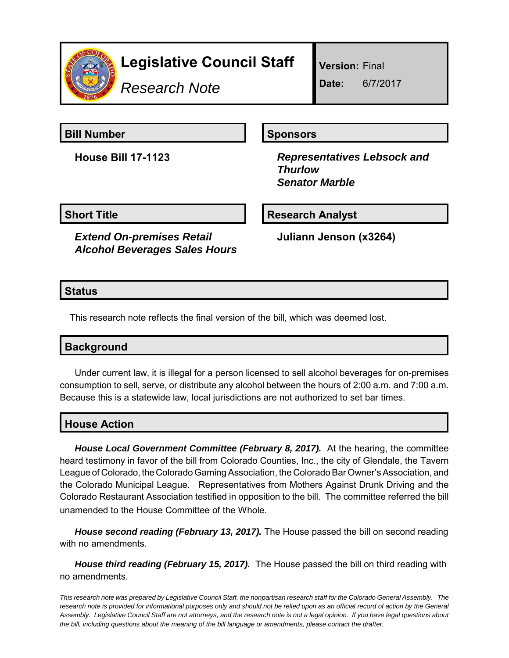

# **Legislative Council Staff**

*Research Note*

**Version:** Final

**Date:** 6/7/2017

**Bill Number Sponsors** 

**House Bill 17-1123** *Representatives Lebsock and Thurlow Senator Marble*

**Short Title**  Research Analyst

*Extend On-premises Retail Alcohol Beverages Sales Hours* **Juliann Jenson (x3264)**

#### **Status**

This research note reflects the final version of the bill, which was deemed lost.

## **Background**

Under current law, it is illegal for a person licensed to sell alcohol beverages for on-premises consumption to sell, serve, or distribute any alcohol between the hours of 2:00 a.m. and 7:00 a.m. Because this is a statewide law, local jurisdictions are not authorized to set bar times.

## **House Action**

*House Local Government Committee (February 8, 2017).* At the hearing, the committee heard testimony in favor of the bill from Colorado Counties, Inc., the city of Glendale, the Tavern League of Colorado, the Colorado Gaming Association, the Colorado Bar Owner's Association, and the Colorado Municipal League. Representatives from Mothers Against Drunk Driving and the Colorado Restaurant Association testified in opposition to the bill. The committee referred the bill unamended to the House Committee of the Whole.

*House second reading (February 13, 2017).* The House passed the bill on second reading with no amendments.

*House third reading (February 15, 2017).* The House passed the bill on third reading with no amendments.

*This research note was prepared by Legislative Council Staff, the nonpartisan research staff for the Colorado General Assembly. The research note is provided for informational purposes only and should not be relied upon as an official record of action by the General Assembly. Legislative Council Staff are not attorneys, and the research note is not a legal opinion. If you have legal questions about the bill, including questions about the meaning of the bill language or amendments, please contact the drafter.*